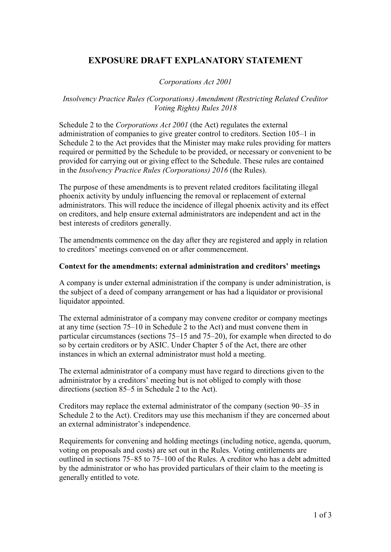# **EXPOSURE DRAFT EXPLANATORY STATEMENT**

*Corporations Act 2001*

## *Insolvency Practice Rules (Corporations) Amendment (Restricting Related Creditor Voting Rights) Rules 2018*

Schedule 2 to the *Corporations Act 2001* (the Act) regulates the external administration of companies to give greater control to creditors. Section 105–1 in Schedule 2 to the Act provides that the Minister may make rules providing for matters required or permitted by the Schedule to be provided, or necessary or convenient to be provided for carrying out or giving effect to the Schedule. These rules are contained in the *Insolvency Practice Rules (Corporations) 2016* (the Rules).

The purpose of these amendments is to prevent related creditors facilitating illegal phoenix activity by unduly influencing the removal or replacement of external administrators. This will reduce the incidence of illegal phoenix activity and its effect on creditors, and help ensure external administrators are independent and act in the best interests of creditors generally.

The amendments commence on the day after they are registered and apply in relation to creditors' meetings convened on or after commencement.

#### **Context for the amendments: external administration and creditors' meetings**

A company is under external administration if the company is under administration, is the subject of a deed of company arrangement or has had a liquidator or provisional liquidator appointed.

The external administrator of a company may convene creditor or company meetings at any time (section 75–10 in Schedule 2 to the Act) and must convene them in particular circumstances (sections 75–15 and 75–20), for example when directed to do so by certain creditors or by ASIC. Under Chapter 5 of the Act, there are other instances in which an external administrator must hold a meeting.

The external administrator of a company must have regard to directions given to the administrator by a creditors' meeting but is not obliged to comply with those directions (section 85–5 in Schedule 2 to the Act).

Creditors may replace the external administrator of the company (section 90–35 in Schedule 2 to the Act). Creditors may use this mechanism if they are concerned about an external administrator's independence.

Requirements for convening and holding meetings (including notice, agenda, quorum, voting on proposals and costs) are set out in the Rules. Voting entitlements are outlined in sections 75–85 to 75–100 of the Rules. A creditor who has a debt admitted by the administrator or who has provided particulars of their claim to the meeting is generally entitled to vote.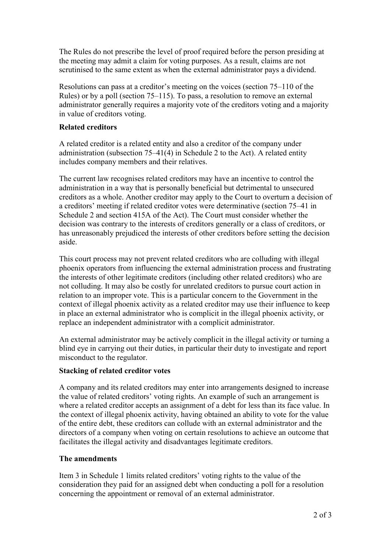The Rules do not prescribe the level of proof required before the person presiding at the meeting may admit a claim for voting purposes. As a result, claims are not scrutinised to the same extent as when the external administrator pays a dividend.

Resolutions can pass at a creditor's meeting on the voices (section 75–110 of the Rules) or by a poll (section 75–115). To pass, a resolution to remove an external administrator generally requires a majority vote of the creditors voting and a majority in value of creditors voting.

## **Related creditors**

A related creditor is a related entity and also a creditor of the company under administration (subsection 75–41(4) in Schedule 2 to the Act). A related entity includes company members and their relatives.

The current law recognises related creditors may have an incentive to control the administration in a way that is personally beneficial but detrimental to unsecured creditors as a whole. Another creditor may apply to the Court to overturn a decision of a creditors' meeting if related creditor votes were determinative (section 75–41 in Schedule 2 and section 415A of the Act). The Court must consider whether the decision was contrary to the interests of creditors generally or a class of creditors, or has unreasonably prejudiced the interests of other creditors before setting the decision aside.

This court process may not prevent related creditors who are colluding with illegal phoenix operators from influencing the external administration process and frustrating the interests of other legitimate creditors (including other related creditors) who are not colluding. It may also be costly for unrelated creditors to pursue court action in relation to an improper vote. This is a particular concern to the Government in the context of illegal phoenix activity as a related creditor may use their influence to keep in place an external administrator who is complicit in the illegal phoenix activity, or replace an independent administrator with a complicit administrator.

An external administrator may be actively complicit in the illegal activity or turning a blind eye in carrying out their duties, in particular their duty to investigate and report misconduct to the regulator.

## **Stacking of related creditor votes**

A company and its related creditors may enter into arrangements designed to increase the value of related creditors' voting rights. An example of such an arrangement is where a related creditor accepts an assignment of a debt for less than its face value. In the context of illegal phoenix activity, having obtained an ability to vote for the value of the entire debt, these creditors can collude with an external administrator and the directors of a company when voting on certain resolutions to achieve an outcome that facilitates the illegal activity and disadvantages legitimate creditors.

## **The amendments**

Item 3 in Schedule 1 limits related creditors' voting rights to the value of the consideration they paid for an assigned debt when conducting a poll for a resolution concerning the appointment or removal of an external administrator.